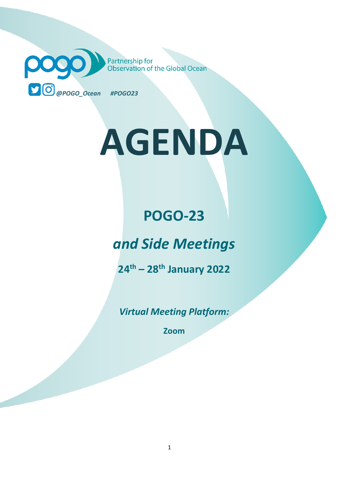Partnership for<br>Observation of the Global Ocean pogo *@POGO\_Ocean #POGO23*

# **AGENDA**

# **POGO-23**

# *and Side Meetings*

**24 th – 28 th January 2022**

*Virtual Meeting Platform:*

**Zoom**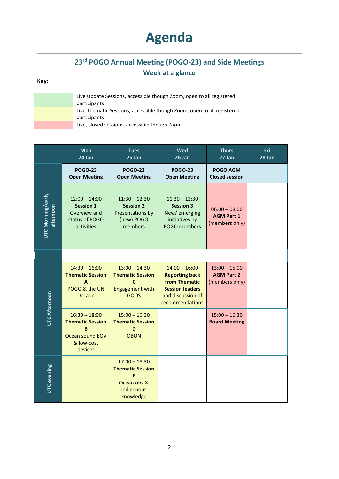# **Agenda**

### **23 rd POGO Annual Meeting (POGO-23) and Side Meetings Week at a glance**

#### **Key:**

| Live Update Sessions, accessible though Zoom, open to all registered   |
|------------------------------------------------------------------------|
| participants                                                           |
| Live Thematic Sessions, accessible though Zoom, open to all registered |
| participants                                                           |
| Live, closed sessions, accessible though Zoom                          |

|                                | <b>Mon</b><br>24 Jan                                                                        | <b>Tues</b><br>25 Jan                                                                       | Wed<br>26 Jan                                                                                                               | <b>Thurs</b><br>27 Jan                                 | Fri<br>28 Jan |
|--------------------------------|---------------------------------------------------------------------------------------------|---------------------------------------------------------------------------------------------|-----------------------------------------------------------------------------------------------------------------------------|--------------------------------------------------------|---------------|
|                                | <b>POGO-23</b><br><b>Open Meeting</b>                                                       | <b>POGO-23</b><br><b>Open Meeting</b>                                                       | <b>POGO-23</b><br><b>Open Meeting</b>                                                                                       | POGO AGM<br><b>Closed session</b>                      |               |
| UTC Morning/early<br>afternoon | $12:00 - 14:00$<br><b>Session 1</b><br>Overview and<br>status of POGO<br>activities         | $11:30 - 12:30$<br><b>Session 2</b><br>Presentations by<br>(new) POGO<br>members            | $11:30 - 12:30$<br><b>Session 3</b><br>New/emerging<br>initiatives by<br>POGO members                                       | $06:00 - 08:00$<br><b>AGM Part 1</b><br>(members only) |               |
|                                |                                                                                             |                                                                                             |                                                                                                                             |                                                        |               |
| <b>UTC Afternoon</b>           | $14:30 - 16:00$<br><b>Thematic Session</b><br>A<br>POGO & the UN<br><b>Decade</b>           | $13:00 - 14:30$<br><b>Thematic Session</b><br>$\mathbf c$<br><b>Engagement with</b><br>GOOS | $14:00 - 16:00$<br><b>Reporting back</b><br>from Thematic<br><b>Session leaders</b><br>and discussion of<br>recommendations | $13:00 - 15:00$<br><b>AGM Part 2</b><br>(members only) |               |
|                                | $16:30 - 18:00$<br><b>Thematic Session</b><br>B<br>Ocean sound EOV<br>& low-cost<br>devices | $15:00 - 16:30$<br><b>Thematic Session</b><br>D<br><b>OBON</b>                              |                                                                                                                             | $15:00 - 16:30$<br><b>Board Meeting</b>                |               |
| UTC evening                    |                                                                                             | $17:00 - 18:30$<br><b>Thematic Session</b><br>F<br>Ocean obs &<br>indigenous<br>knowledge   |                                                                                                                             |                                                        |               |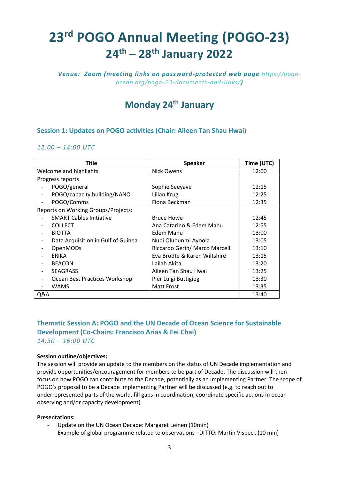# **23 rd POGO Annual Meeting (POGO-23) 24 th – 28 th January 2022**

*Venue: Zoom (meeting links on password-protected web page [https://pogo](https://pogo-ocean.org/pogo-23-documents-and-links/)[ocean.org/pogo-23-documents-and-links/](https://pogo-ocean.org/pogo-23-documents-and-links/))*

## **Monday 24 th January**

#### **Session 1: Updates on POGO activities (Chair: Aileen Tan Shau Hwai)**

#### *12:00 – 14:00 UTC*

| <b>Title</b>                        | <b>Speaker</b>                 | Time (UTC) |
|-------------------------------------|--------------------------------|------------|
| Welcome and highlights              | Nick Owens                     | 12:00      |
| Progress reports                    |                                |            |
| POGO/general                        | Sophie Seeyave                 | 12:15      |
| POGO/capacity building/NANO         | Lilian Krug                    | 12:25      |
| POGO/Comms                          | Fiona Beckman                  | 12:35      |
| Reports on Working Groups/Projects: |                                |            |
| <b>SMART Cables Initiative</b>      | <b>Bruce Howe</b>              | 12:45      |
| <b>COLLECT</b>                      | Ana Catarino & Edem Mahu       | 12:55      |
| <b>BIOTTA</b>                       | Edem Mahu                      | 13:00      |
| Data Acquisition in Gulf of Guinea  | Nubi Olubunmi Ayoola           | 13:05      |
| <b>OpenMODs</b>                     | Riccardo Gerin/ Marco Marcelli | 13:10      |
| <b>ERIKA</b>                        | Eva Brodte & Karen Wiltshire   | 13:15      |
| <b>BEACON</b>                       | Lailah Akita                   | 13:20      |
| <b>SEAGRASS</b>                     | Aileen Tan Shau Hwai           | 13:25      |
| Ocean Best Practices Workshop       | Pier Luigi Buttigieg           | 13:30      |
| WAMS                                | <b>Matt Frost</b>              | 13:35      |
| Q&A                                 |                                | 13:40      |

#### **Thematic Session A: POGO and the UN Decade of Ocean Science for Sustainable Development (Co-Chairs: Francisco Arias & Fei Chai)** *14:30 – 16:00 UTC*

#### **Session outline/objectives:**

The session will provide an update to the members on the status of UN Decade implementation and provide opportunities/encouragement for members to be part of Decade. The discussion will then focus on how POGO can contribute to the Decade, potentially as an Implementing Partner. The scope of POGO's proposal to be a Decade Implementing Partner will be discussed (e.g. to reach out to underrepresented parts of the world, fill gaps in coordination, coordinate specific actions in ocean observing and/or capacity development).

#### **Presentations:**

- Update on the UN Ocean Decade: Margaret Leinen (10min)
- Example of global programme related to observations –DITTO: Martin Visbeck (10 min)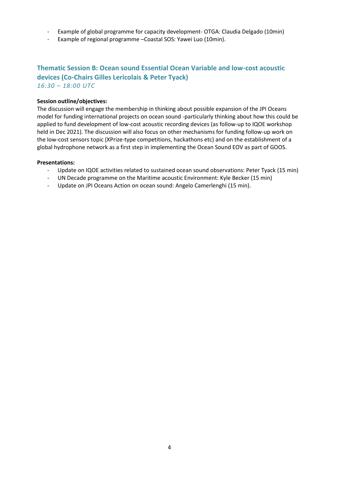- Example of global programme for capacity development- OTGA: Claudia Delgado (10min)
- Example of regional programme –Coastal SOS: Yawei Luo (10min).

#### **Thematic Session B: Ocean sound Essential Ocean Variable and low-cost acoustic devices (Co-Chairs Gilles Lericolais & Peter Tyack)** *16:30 – 18:00 UTC*

#### **Session outline/objectives:**

The discussion will engage the membership in thinking about possible expansion of the JPI Oceans model for funding international projects on ocean sound -particularly thinking about how this could be applied to fund development of low-cost acoustic recording devices (as follow-up to IQOE workshop held in Dec 2021). The discussion will also focus on other mechanisms for funding follow-up work on the low-cost sensors topic (XPrize-type competitions, hackathons etc) and on the establishment of a global hydrophone network as a first step in implementing the Ocean Sound EOV as part of GOOS.

#### **Presentations:**

- Update on IQOE activities related to sustained ocean sound observations: Peter Tyack (15 min)
- UN Decade programme on the Maritime acoustic Environment: Kyle Becker (15 min)
- Update on JPI Oceans Action on ocean sound: Angelo Camerlenghi (15 min).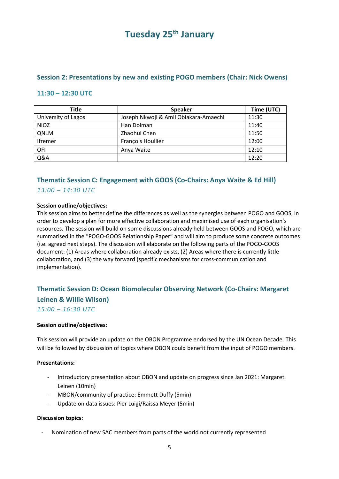## **Tuesday 25 th January**

#### **Session 2: Presentations by new and existing POGO members (Chair: Nick Owens)**

#### **11:30 – 12:30 UTC**

| <b>Title</b>        | <b>Speaker</b>                        | Time (UTC) |
|---------------------|---------------------------------------|------------|
| University of Lagos | Joseph Nkwoji & Amii Obiakara-Amaechi | 11:30      |
| <b>NIOZ</b>         | Han Dolman                            | 11:40      |
| <b>QNLM</b>         | Zhaohui Chen                          | 11:50      |
| Ifremer             | François Houllier                     | 12:00      |
| OFI                 | Anya Waite                            | 12:10      |
| Q&A                 |                                       | 12:20      |

#### **Thematic Session C: Engagement with GOOS (Co-Chairs: Anya Waite & Ed Hill)** *13:00 – 14:30 UTC*

#### **Session outline/objectives:**

This session aims to better define the differences as well as the synergies between POGO and GOOS, in order to develop a plan for more effective collaboration and maximised use of each organisation's resources. The session will build on some discussions already held between GOOS and POGO, which are summarised in the "POGO-GOOS Relationship Paper" and will aim to produce some concrete outcomes (i.e. agreed next steps). The discussion will elaborate on the following parts of the POGO-GOOS document: (1) Areas where collaboration already exists, (2) Areas where there is currently little collaboration, and (3) the way forward (specific mechanisms for cross-communication and implementation).

#### **Thematic Session D: Ocean Biomolecular Observing Network (Co-Chairs: Margaret Leinen & Willie Wilson)**

*15:00 – 16:30 UTC*

#### **Session outline/objectives:**

This session will provide an update on the OBON Programme endorsed by the UN Ocean Decade. This will be followed by discussion of topics where OBON could benefit from the input of POGO members.

#### **Presentations:**

- Introductory presentation about OBON and update on progress since Jan 2021: Margaret Leinen (10min)
- MBON/community of practice: Emmett Duffy (5min)
- Update on data issues: Pier Luigi/Raissa Meyer (5min)

#### **Discussion topics:**

- Nomination of new SAC members from parts of the world not currently represented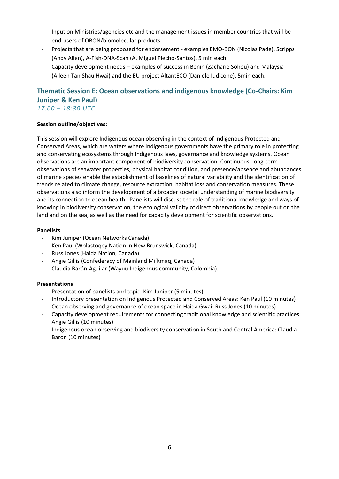- Input on Ministries/agencies etc and the management issues in member countries that will be end-users of OBON/biomolecular products
- Projects that are being proposed for endorsement examples EMO-BON (Nicolas Pade), Scripps (Andy Allen), A-Fish-DNA-Scan (A. Miguel Piecho-Santos), 5 min each
- Capacity development needs examples of success in Benin (Zacharie Sohou) and Malaysia (Aileen Tan Shau Hwai) and the EU project AltantECO (Daniele Iudicone), 5min each.

#### **Thematic Session E: Ocean observations and indigenous knowledge (Co-Chairs: Kim Juniper & Ken Paul)** *17:00 – 18:30 UTC*

#### **Session outline/objectives:**

This session will explore Indigenous ocean observing in the context of Indigenous Protected and Conserved Areas, which are waters where Indigenous governments have the primary role in protecting and conservating ecosystems through Indigenous laws, governance and knowledge systems. Ocean observations are an important component of biodiversity conservation. Continuous, long-term observations of seawater properties, physical habitat condition, and presence/absence and abundances of marine species enable the establishment of baselines of natural variability and the identification of trends related to climate change, resource extraction, habitat loss and conservation measures. These observations also inform the development of a broader societal understanding of marine biodiversity and its connection to ocean health. Panelists will discuss the role of traditional knowledge and ways of knowing in biodiversity conservation, the ecological validity of direct observations by people out on the land and on the sea, as well as the need for capacity development for scientific observations.

#### **Panelists**

- Kim Juniper (Ocean Networks Canada)
- Ken Paul (Wolastoqey Nation in New Brunswick, Canada)
- Russ Jones (Haida Nation, Canada)
- Angie Gillis (Confederacy of Mainland Mi'kmaq, Canada)
- Claudia Barón-Aguilar (Wayuu Indigenous community, Colombia).

#### **Presentations**

- Presentation of panelists and topic: Kim Juniper (5 minutes)
- Introductory presentation on Indigenous Protected and Conserved Areas: Ken Paul (10 minutes)
- Ocean observing and governance of ocean space in Haida Gwai: Russ Jones (10 minutes)
- Capacity development requirements for connecting traditional knowledge and scientific practices: Angie Gillis (10 minutes)
- Indigenous ocean observing and biodiversity conservation in South and Central America: Claudia Baron (10 minutes)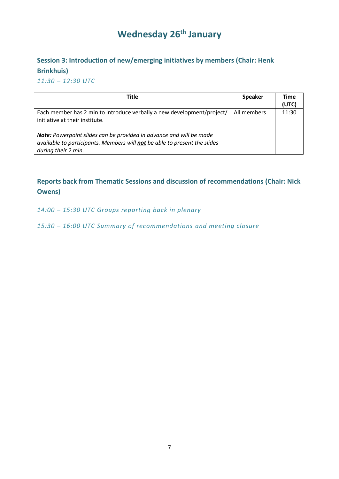## **Wednesday 26 th January**

## **Session 3: Introduction of new/emerging initiatives by members (Chair: Henk Brinkhuis)**

*11:30 – 12:30 UTC*

| <b>Title</b>                                                                                                                                                            | <b>Speaker</b> | <b>Time</b><br>(UTC) |
|-------------------------------------------------------------------------------------------------------------------------------------------------------------------------|----------------|----------------------|
| Each member has 2 min to introduce verbally a new development/project/<br>initiative at their institute.                                                                | All members    | 11:30                |
| Note: Powerpoint slides can be provided in advance and will be made<br>available to participants. Members will not be able to present the slides<br>during their 2 min. |                |                      |

#### **Reports back from Thematic Sessions and discussion of recommendations (Chair: Nick Owens)**

*14:00 – 15:30 UTC Groups reporting back in plenary*

*15:30 – 16:00 UTC Summary of recommendations and meeting closure*